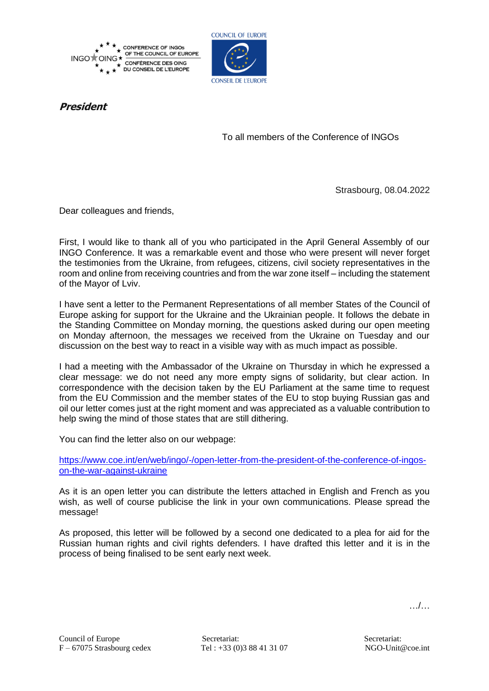



## **President**

To all members of the Conference of INGOs

Strasbourg, 08.04.2022

Dear colleagues and friends,

First, I would like to thank all of you who participated in the April General Assembly of our INGO Conference. It was a remarkable event and those who were present will never forget the testimonies from the Ukraine, from refugees, citizens, civil society representatives in the room and online from receiving countries and from the war zone itself – including the statement of the Mayor of Lviv.

I have sent a letter to the Permanent Representations of all member States of the Council of Europe asking for support for the Ukraine and the Ukrainian people. It follows the debate in the Standing Committee on Monday morning, the questions asked during our open meeting on Monday afternoon, the messages we received from the Ukraine on Tuesday and our discussion on the best way to react in a visible way with as much impact as possible.

I had a meeting with the Ambassador of the Ukraine on Thursday in which he expressed a clear message: we do not need any more empty signs of solidarity, but clear action. In correspondence with the decision taken by the EU Parliament at the same time to request from the EU Commission and the member states of the EU to stop buying Russian gas and oil our letter comes just at the right moment and was appreciated as a valuable contribution to help swing the mind of those states that are still dithering.

You can find the letter also on our webpage:

[https://www.coe.int/en/web/ingo/-/open-letter-from-the-president-of-the-conference-of-ingos](https://www.coe.int/en/web/ingo/-/open-letter-from-the-president-of-the-conference-of-ingos-on-the-war-against-ukraine)[on-the-war-against-ukraine](https://www.coe.int/en/web/ingo/-/open-letter-from-the-president-of-the-conference-of-ingos-on-the-war-against-ukraine)

As it is an open letter you can distribute the letters attached in English and French as you wish, as well of course publicise the link in your own communications. Please spread the message!

As proposed, this letter will be followed by a second one dedicated to a plea for aid for the Russian human rights and civil rights defenders. I have drafted this letter and it is in the process of being finalised to be sent early next week.

…/…